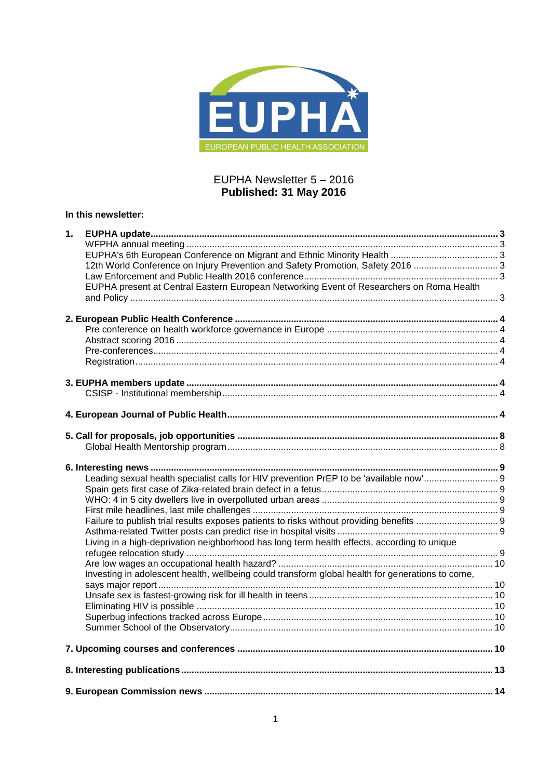

# EUPHA Newsletter 5 – 2016 **Published: 31 May 2016**

# **In this newsletter:**

| 1. |                                                                                                  |  |
|----|--------------------------------------------------------------------------------------------------|--|
|    |                                                                                                  |  |
|    |                                                                                                  |  |
|    | 12th World Conference on Injury Prevention and Safety Promotion, Safety 2016                     |  |
|    |                                                                                                  |  |
|    | EUPHA present at Central Eastern European Networking Event of Researchers on Roma Health         |  |
|    |                                                                                                  |  |
|    |                                                                                                  |  |
|    |                                                                                                  |  |
|    |                                                                                                  |  |
|    |                                                                                                  |  |
|    |                                                                                                  |  |
|    |                                                                                                  |  |
|    |                                                                                                  |  |
|    |                                                                                                  |  |
|    |                                                                                                  |  |
|    |                                                                                                  |  |
|    |                                                                                                  |  |
|    |                                                                                                  |  |
|    |                                                                                                  |  |
|    |                                                                                                  |  |
|    |                                                                                                  |  |
|    |                                                                                                  |  |
|    |                                                                                                  |  |
|    |                                                                                                  |  |
|    |                                                                                                  |  |
|    |                                                                                                  |  |
|    |                                                                                                  |  |
|    | Living in a high-deprivation neighborhood has long term health effects, according to unique      |  |
|    |                                                                                                  |  |
|    |                                                                                                  |  |
|    | Investing in adolescent health, wellbeing could transform global health for generations to come, |  |
|    |                                                                                                  |  |
|    |                                                                                                  |  |
|    |                                                                                                  |  |
|    |                                                                                                  |  |
|    |                                                                                                  |  |
|    |                                                                                                  |  |
|    |                                                                                                  |  |
|    |                                                                                                  |  |
|    |                                                                                                  |  |
|    |                                                                                                  |  |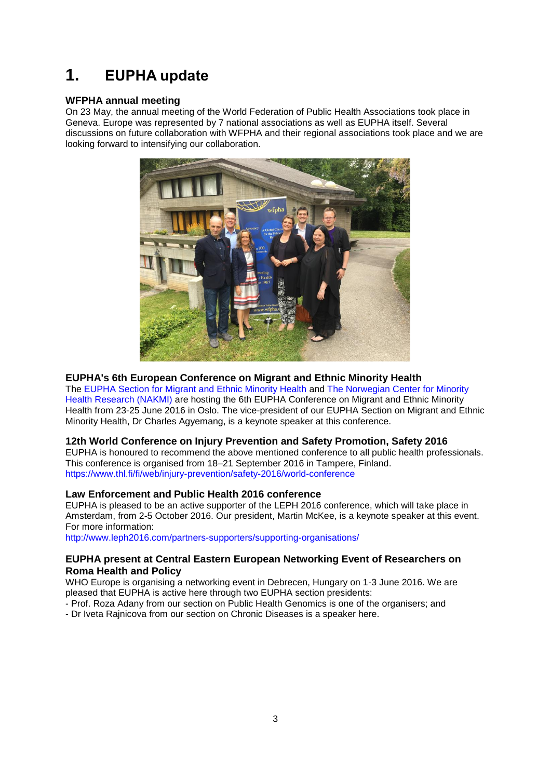# <span id="page-2-0"></span>**1. EUPHA update**

## <span id="page-2-1"></span>**WFPHA annual meeting**

On 23 May, the annual meeting of the World Federation of Public Health Associations took place in Geneva. Europe was represented by 7 national associations as well as EUPHA itself. Several discussions on future collaboration with WFPHA and their regional associations took place and we are looking forward to intensifying our collaboration.



## <span id="page-2-2"></span>**EUPHA's 6th European Conference on Migrant and Ethnic Minority Health**

The [EUPHA Section for Migrant and Ethnic Minority Health a](http://114031-www.web.tornado-node.net/about-eupha-memh/)nd [The Norwegian Center for Minority](http://114031-www.web.tornado-node.net/about-nakmi/)  [Health Research \(NAKMI\)](http://114031-www.web.tornado-node.net/about-nakmi/) are hosting the 6th EUPHA Conference on Migrant and Ethnic Minority Health from 23-25 June 2016 in Oslo. The vice-president of our EUPHA Section on Migrant and Ethnic Minority Health, Dr Charles Agyemang, is a keynote speaker at this conference.

## <span id="page-2-3"></span>**12th World Conference on Injury Prevention and Safety Promotion, Safety 2016**

EUPHA is honoured to recommend the above mentioned conference to all public health professionals. This conference is organised from 18–21 September 2016 in Tampere, Finland. <https://www.thl.fi/fi/web/injury-prevention/safety-2016/world-conference>

# <span id="page-2-4"></span>**Law Enforcement and Public Health 2016 conference**

EUPHA is pleased to be an active supporter of the LEPH 2016 conference, which will take place in Amsterdam, from 2-5 October 2016. Our president, Martin McKee, is a keynote speaker at this event. For more information:

<http://www.leph2016.com/partners-supporters/supporting-organisations/>

# <span id="page-2-5"></span>**EUPHA present at Central Eastern European Networking Event of Researchers on Roma Health and Policy**

WHO Europe is organising a networking event in Debrecen, Hungary on 1-3 June 2016. We are pleased that EUPHA is active here through two EUPHA section presidents:

- Prof. Roza Adany from our section on Public Health Genomics is one of the organisers; and
- Dr Iveta Rajnicova from our section on Chronic Diseases is a speaker here.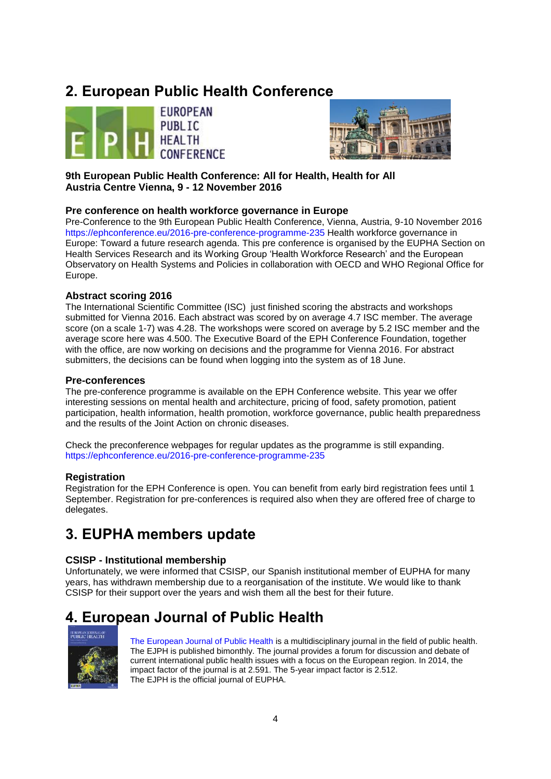# <span id="page-3-0"></span>**2. European Public Health Conference**





**9th European Public Health Conference: All for Health, Health for All Austria Centre Vienna, 9 - 12 November 2016**

# <span id="page-3-1"></span>**Pre conference on health workforce governance in Europe**

Pre-Conference to the 9th European Public Health Conference, Vienna, Austria, 9-10 November 2016 <https://ephconference.eu/2016-pre-conference-programme-235> Health workforce governance in Europe: Toward a future research agenda. This pre conference is organised by the EUPHA Section on Health Services Research and its Working Group 'Health Workforce Research' and the European Observatory on Health Systems and Policies in collaboration with OECD and WHO Regional Office for Europe.

## <span id="page-3-2"></span>**Abstract scoring 2016**

The International Scientific Committee (ISC) just finished scoring the abstracts and workshops submitted for Vienna 2016. Each abstract was scored by on average 4.7 ISC member. The average score (on a scale 1-7) was 4.28. The workshops were scored on average by 5.2 ISC member and the average score here was 4.500. The Executive Board of the EPH Conference Foundation, together with the office, are now working on decisions and the programme for Vienna 2016. For abstract submitters, the decisions can be found when logging into the system as of 18 June.

## <span id="page-3-3"></span>**Pre-conferences**

The pre-conference programme is available on the EPH Conference website. This year we offer interesting sessions on mental health and architecture, pricing of food, safety promotion, patient participation, health information, health promotion, workforce governance, public health preparedness and the results of the Joint Action on chronic diseases.

Check the preconference webpages for regular updates as the programme is still expanding. <https://ephconference.eu/2016-pre-conference-programme-235>

## <span id="page-3-4"></span>**Registration**

Registration for the EPH Conference is open. You can benefit from early bird registration fees until 1 September. Registration for pre-conferences is required also when they are offered free of charge to delegates.

# <span id="page-3-5"></span>**3. EUPHA members update**

## <span id="page-3-6"></span>**CSISP - Institutional membership**

Unfortunately, we were informed that CSISP, our Spanish institutional member of EUPHA for many years, has withdrawn membership due to a reorganisation of the institute. We would like to thank CSISP for their support over the years and wish them all the best for their future.

# <span id="page-3-7"></span>**4. European Journal of Public Health**



[The European Journal of Public Health](http://eurpub.oxfordjournals.org/) is a multidisciplinary journal in the field of public health. The EJPH is published bimonthly. The journal provides a forum for discussion and debate of current international public health issues with a focus on the European region. In 2014, the impact factor of the journal is at 2.591. The 5-year impact factor is 2.512. The EJPH is the official journal of EUPHA.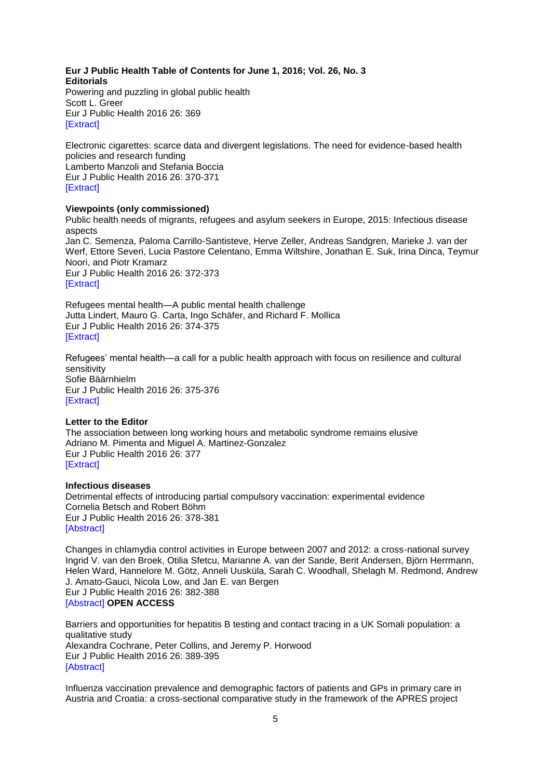### **Eur J Public Health Table of Contents for June 1, 2016; Vol. 26, No. 3 Editorials**

Powering and puzzling in global public health Scott L. Greer Eur J Public Health 2016 26: 369 [\[Extract\]](http://eurpub.oxfordjournals.org/content/26/3/369.extract?etoc)

Electronic cigarettes: scarce data and divergent legislations. The need for evidence-based health policies and research funding Lamberto Manzoli and Stefania Boccia Eur J Public Health 2016 26: 370-371 [\[Extract\]](http://eurpub.oxfordjournals.org/content/26/3/370.extract?etoc)

## **Viewpoints (only commissioned)**

Public health needs of migrants, refugees and asylum seekers in Europe, 2015: Infectious disease aspects Jan C. Semenza, Paloma Carrillo-Santisteve, Herve Zeller, Andreas Sandgren, Marieke J. van der Werf, Ettore Severi, Lucia Pastore Celentano, Emma Wiltshire, Jonathan E. Suk, Irina Dinca, Teymur Noori, and Piotr Kramarz Eur J Public Health 2016 26: 372-373 **[\[Extract\]](http://eurpub.oxfordjournals.org/content/26/3/372.extract?etoc)** 

Refugees mental health—A public mental health challenge Jutta Lindert, Mauro G. Carta, Ingo Schäfer, and Richard F. Mollica Eur J Public Health 2016 26: 374-375 [\[Extract\]](http://eurpub.oxfordjournals.org/content/26/3/374.extract?etoc)

Refugees' mental health—a call for a public health approach with focus on resilience and cultural sensitivity Sofie Bäärnhielm Eur J Public Health 2016 26: 375-376 [\[Extract\]](http://eurpub.oxfordjournals.org/content/26/3/375.extract?etoc)

### **Letter to the Editor**

The association between long working hours and metabolic syndrome remains elusive Adriano M. Pimenta and Miguel A. Martinez-Gonzalez Eur J Public Health 2016 26: 377 [\[Extract\]](http://eurpub.oxfordjournals.org/content/26/3/377.extract?etoc)

## **Infectious diseases**

Detrimental effects of introducing partial compulsory vaccination: experimental evidence Cornelia Betsch and Robert Böhm Eur J Public Health 2016 26: 378-381 [\[Abstract\]](http://eurpub.oxfordjournals.org/content/26/3/378.abstract?etoc)

Changes in chlamydia control activities in Europe between 2007 and 2012: a cross-national survey Ingrid V. van den Broek, Otilia Sfetcu, Marianne A. van der Sande, Berit Andersen, Björn Herrmann, Helen Ward, Hannelore M. Götz, Anneli Uusküla, Sarah C. Woodhall, Shelagh M. Redmond, Andrew J. Amato-Gauci, Nicola Low, and Jan E. van Bergen Eur J Public Health 2016 26: 382-388 [\[Abstract\]](http://eurpub.oxfordjournals.org/content/26/3/382.abstract?etoc) **OPEN ACCESS**

Barriers and opportunities for hepatitis B testing and contact tracing in a UK Somali population: a qualitative study Alexandra Cochrane, Peter Collins, and Jeremy P. Horwood Eur J Public Health 2016 26: 389-395 [\[Abstract\]](http://eurpub.oxfordjournals.org/content/26/3/389.abstract?etoc)

Influenza vaccination prevalence and demographic factors of patients and GPs in primary care in Austria and Croatia: a cross-sectional comparative study in the framework of the APRES project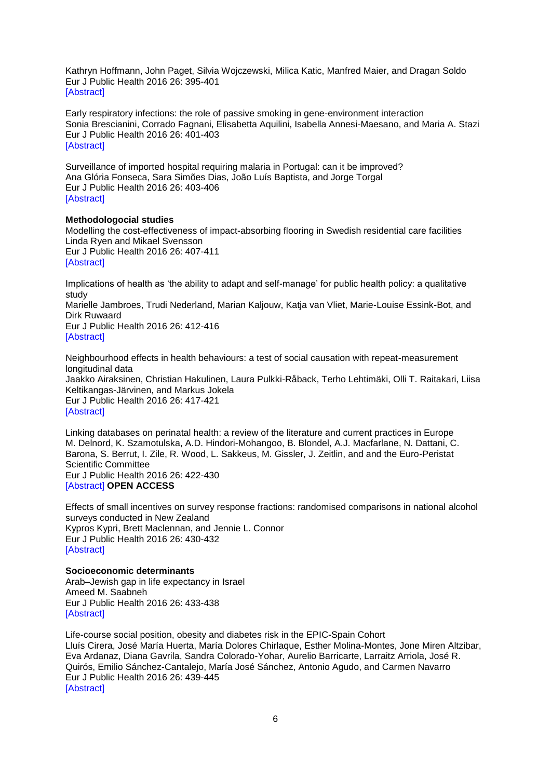Kathryn Hoffmann, John Paget, Silvia Wojczewski, Milica Katic, Manfred Maier, and Dragan Soldo Eur J Public Health 2016 26: 395-401 [\[Abstract\]](http://eurpub.oxfordjournals.org/content/26/3/395.abstract?etoc)

Early respiratory infections: the role of passive smoking in gene-environment interaction Sonia Brescianini, Corrado Fagnani, Elisabetta Aquilini, Isabella Annesi-Maesano, and Maria A. Stazi Eur J Public Health 2016 26: 401-403 [\[Abstract\]](http://eurpub.oxfordjournals.org/content/26/3/401.abstract?etoc)

Surveillance of imported hospital requiring malaria in Portugal: can it be improved? Ana Glória Fonseca, Sara Simões Dias, João Luís Baptista, and Jorge Torgal Eur J Public Health 2016 26: 403-406 [\[Abstract\]](http://eurpub.oxfordjournals.org/content/26/3/403.abstract?etoc)

### **Methodologocial studies**

Modelling the cost-effectiveness of impact-absorbing flooring in Swedish residential care facilities Linda Ryen and Mikael Svensson Eur J Public Health 2016 26: 407-411 **[\[Abstract\]](http://eurpub.oxfordjournals.org/content/26/3/407.abstract?etoc)** 

Implications of health as 'the ability to adapt and self-manage' for public health policy: a qualitative study

Marielle Jambroes, Trudi Nederland, Marian Kaljouw, Katja van Vliet, Marie-Louise Essink-Bot, and Dirk Ruwaard

Eur J Public Health 2016 26: 412-416 [\[Abstract\]](http://eurpub.oxfordjournals.org/content/26/3/412.abstract?etoc)

Neighbourhood effects in health behaviours: a test of social causation with repeat-measurement longitudinal data Jaakko Airaksinen, Christian Hakulinen, Laura Pulkki-Råback, Terho Lehtimäki, Olli T. Raitakari, Liisa Keltikangas-Järvinen, and Markus Jokela Eur J Public Health 2016 26: 417-421 [\[Abstract\]](http://eurpub.oxfordjournals.org/content/26/3/417.abstract?etoc)

Linking databases on perinatal health: a review of the literature and current practices in Europe M. Delnord, K. Szamotulska, A.D. Hindori-Mohangoo, B. Blondel, A.J. Macfarlane, N. Dattani, C. Barona, S. Berrut, I. Zile, R. Wood, L. Sakkeus, M. Gissler, J. Zeitlin, and and the Euro-Peristat Scientific Committee Eur J Public Health 2016 26: 422-430 [\[Abstract\]](http://eurpub.oxfordjournals.org/content/26/3/422.abstract?etoc) **OPEN ACCESS**

Effects of small incentives on survey response fractions: randomised comparisons in national alcohol surveys conducted in New Zealand Kypros Kypri, Brett Maclennan, and Jennie L. Connor Eur J Public Health 2016 26: 430-432 [\[Abstract\]](http://eurpub.oxfordjournals.org/content/26/3/430.abstract?etoc)

### **Socioeconomic determinants**

Arab–Jewish gap in life expectancy in Israel Ameed M. Saabneh Eur J Public Health 2016 26: 433-438 [\[Abstract\]](http://eurpub.oxfordjournals.org/content/26/3/433.abstract?etoc)

Life-course social position, obesity and diabetes risk in the EPIC-Spain Cohort Lluís Cirera, José María Huerta, María Dolores Chirlaque, Esther Molina-Montes, Jone Miren Altzibar, Eva Ardanaz, Diana Gavrila, Sandra Colorado-Yohar, Aurelio Barricarte, Larraitz Arriola, José R. Quirós, Emilio Sánchez-Cantalejo, María José Sánchez, Antonio Agudo, and Carmen Navarro Eur J Public Health 2016 26: 439-445 [\[Abstract\]](http://eurpub.oxfordjournals.org/content/26/3/439.abstract?etoc)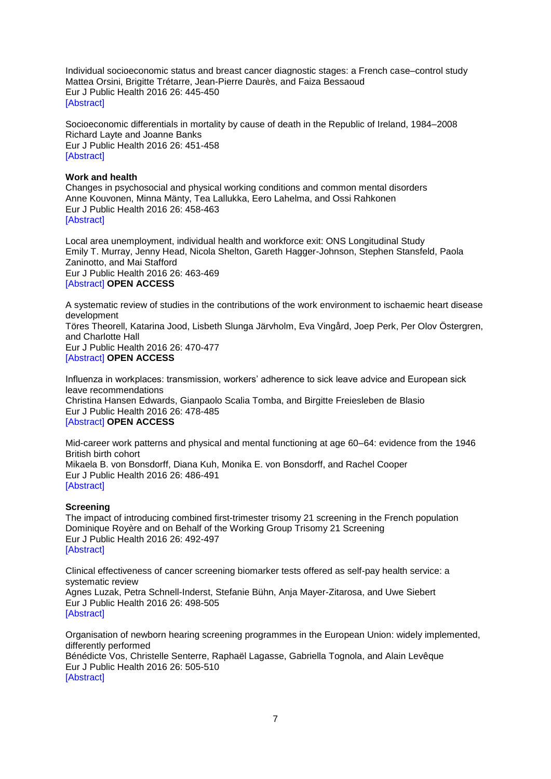Individual socioeconomic status and breast cancer diagnostic stages: a French case–control study Mattea Orsini, Brigitte Trétarre, Jean-Pierre Daurès, and Faiza Bessaoud Eur J Public Health 2016 26: 445-450 [\[Abstract\]](http://eurpub.oxfordjournals.org/content/26/3/445.abstract?etoc)

Socioeconomic differentials in mortality by cause of death in the Republic of Ireland, 1984–2008 Richard Layte and Joanne Banks Eur J Public Health 2016 26: 451-458 [\[Abstract\]](http://eurpub.oxfordjournals.org/content/26/3/451.abstract?etoc)

## **Work and health**

Changes in psychosocial and physical working conditions and common mental disorders Anne Kouvonen, Minna Mänty, Tea Lallukka, Eero Lahelma, and Ossi Rahkonen Eur J Public Health 2016 26: 458-463 **[\[Abstract\]](http://eurpub.oxfordjournals.org/content/26/3/458.abstract?etoc)** 

Local area unemployment, individual health and workforce exit: ONS Longitudinal Study Emily T. Murray, Jenny Head, Nicola Shelton, Gareth Hagger-Johnson, Stephen Stansfeld, Paola Zaninotto, and Mai Stafford Eur J Public Health 2016 26: 463-469 [\[Abstract\]](http://eurpub.oxfordjournals.org/content/26/3/463.abstract?etoc) **OPEN ACCESS**

A systematic review of studies in the contributions of the work environment to ischaemic heart disease development Töres Theorell, Katarina Jood, Lisbeth Slunga Järvholm, Eva Vingård, Joep Perk, Per Olov Östergren, and Charlotte Hall Eur J Public Health 2016 26: 470-477 [\[Abstract\]](http://eurpub.oxfordjournals.org/content/26/3/470.abstract?etoc) **OPEN ACCESS**

Influenza in workplaces: transmission, workers' adherence to sick leave advice and European sick leave recommendations Christina Hansen Edwards, Gianpaolo Scalia Tomba, and Birgitte Freiesleben de Blasio Eur J Public Health 2016 26: 478-485 [\[Abstract\]](http://eurpub.oxfordjournals.org/content/26/3/478.abstract?etoc) **OPEN ACCESS**

Mid-career work patterns and physical and mental functioning at age 60–64: evidence from the 1946 British birth cohort Mikaela B. von Bonsdorff, Diana Kuh, Monika E. von Bonsdorff, and Rachel Cooper Eur J Public Health 2016 26: 486-491 [\[Abstract\]](http://eurpub.oxfordjournals.org/content/26/3/486.abstract?etoc)

## **Screening**

The impact of introducing combined first-trimester trisomy 21 screening in the French population Dominique Royère and on Behalf of the Working Group Trisomy 21 Screening Eur J Public Health 2016 26: 492-497 [\[Abstract\]](http://eurpub.oxfordjournals.org/content/26/3/492.abstract?etoc)

Clinical effectiveness of cancer screening biomarker tests offered as self-pay health service: a systematic review Agnes Luzak, Petra Schnell-Inderst, Stefanie Bühn, Anja Mayer-Zitarosa, and Uwe Siebert Eur J Public Health 2016 26: 498-505 [\[Abstract\]](http://eurpub.oxfordjournals.org/content/26/3/498.abstract?etoc)

Organisation of newborn hearing screening programmes in the European Union: widely implemented, differently performed Bénédicte Vos, Christelle Senterre, Raphaël Lagasse, Gabriella Tognola, and Alain Levêque Eur J Public Health 2016 26: 505-510 [\[Abstract\]](http://eurpub.oxfordjournals.org/content/26/3/505.abstract?etoc)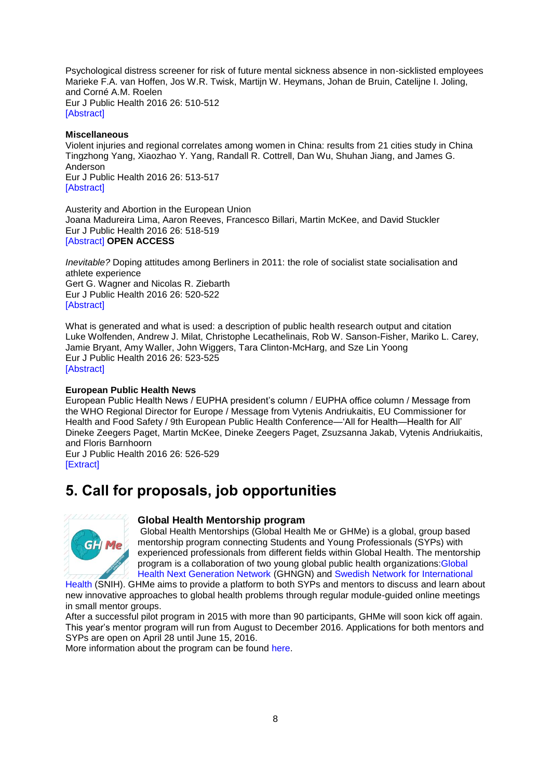Psychological distress screener for risk of future mental sickness absence in non-sicklisted employees Marieke F.A. van Hoffen, Jos W.R. Twisk, Martijn W. Heymans, Johan de Bruin, Catelijne I. Joling, and Corné A.M. Roelen Eur J Public Health 2016 26: 510-512 **[\[Abstract\]](http://eurpub.oxfordjournals.org/content/26/3/510.abstract?etoc)** 

### **Miscellaneous**

Violent injuries and regional correlates among women in China: results from 21 cities study in China Tingzhong Yang, Xiaozhao Y. Yang, Randall R. Cottrell, Dan Wu, Shuhan Jiang, and James G. Anderson Eur J Public Health 2016 26: 513-517 [\[Abstract\]](http://eurpub.oxfordjournals.org/content/26/3/513.abstract?etoc)

Austerity and Abortion in the European Union Joana Madureira Lima, Aaron Reeves, Francesco Billari, Martin McKee, and David Stuckler Eur J Public Health 2016 26: 518-519 [\[Abstract\]](http://eurpub.oxfordjournals.org/content/26/3/518.abstract?etoc) **OPEN ACCESS**

*Inevitable?* Doping attitudes among Berliners in 2011: the role of socialist state socialisation and athlete experience Gert G. Wagner and Nicolas R. Ziebarth Eur J Public Health 2016 26: 520-522 [\[Abstract\]](http://eurpub.oxfordjournals.org/content/26/3/520.abstract?etoc)

What is generated and what is used: a description of public health research output and citation Luke Wolfenden, Andrew J. Milat, Christophe Lecathelinais, Rob W. Sanson-Fisher, Mariko L. Carey, Jamie Bryant, Amy Waller, John Wiggers, Tara Clinton-McHarg, and Sze Lin Yoong Eur J Public Health 2016 26: 523-525 **[\[Abstract\]](http://eurpub.oxfordjournals.org/content/26/3/523.abstract?etoc)** 

### **European Public Health News**

European Public Health News / EUPHA president's column / EUPHA office column / Message from the WHO Regional Director for Europe / Message from Vytenis Andriukaitis, EU Commissioner for Health and Food Safety / 9th European Public Health Conference—'All for Health—Health for All' Dineke Zeegers Paget, Martin McKee, Dineke Zeegers Paget, Zsuzsanna Jakab, Vytenis Andriukaitis, and Floris Barnhoorn

Eur J Public Health 2016 26: 526-529 [\[Extract\]](http://eurpub.oxfordjournals.org/content/26/3/526.extract?etoc)

# <span id="page-7-0"></span>**5. Call for proposals, job opportunities**



## <span id="page-7-1"></span>**Global Health Mentorship program**

Global Health Mentorships (Global Health Me or GHMe) is a global, group based mentorship program connecting Students and Young Professionals (SYPs) with experienced professionals from different fields within Global Health. The mentorship program is a collaboration of two young global public health organizations[:Global](http://www.ghnetwork.org/)  [Health Next Generation Network](http://www.ghnetwork.org/) (GHNGN) and [Swedish Network for International](http://www.snih.org/) 

[Health](http://www.snih.org/) (SNIH). GHMe aims to provide a platform to both SYPs and mentors to discuss and learn about new innovative approaches to global health problems through regular module-guided online meetings in small mentor groups.

After a successful pilot program in 2015 with more than 90 participants, GHMe will soon kick off again. This year's mentor program will run from August to December 2016. Applications for both mentors and SYPs are open on April 28 until June 15, 2016.

More information about the program can be found [here.](http://globalhealthmentor.wix.com/ghme)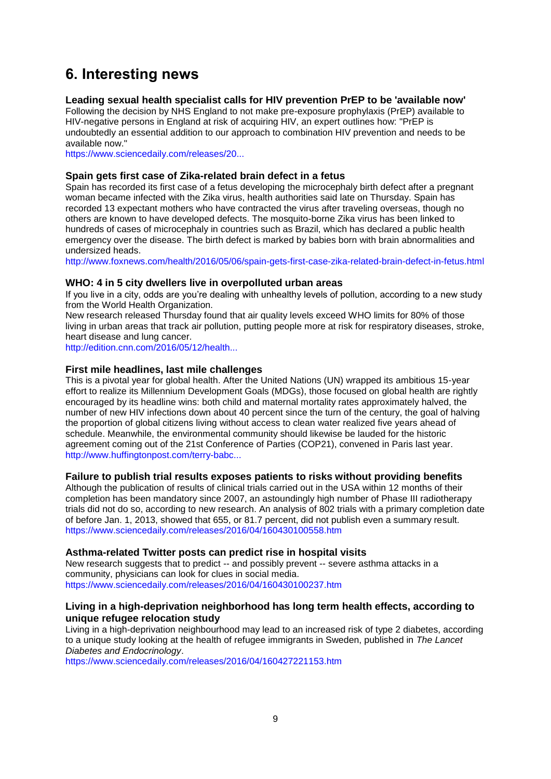# <span id="page-8-0"></span>**6. Interesting news**

## <span id="page-8-1"></span>**Leading sexual health specialist calls for HIV prevention PrEP to be 'available now'**

Following the decision by NHS England to not make pre-exposure prophylaxis (PrEP) available to HIV-negative persons in England at risk of acquiring HIV, an expert outlines how: "PrEP is undoubtedly an essential addition to our approach to combination HIV prevention and needs to be available now."

[https://www.sciencedaily.com/releases/20...](http://euphapedia.eupha.org/newsletter/https:/www.sciencedaily.com/releases/2016/05/160517191806.htm?utm_source=feedburner&utm_medium=email&utm_campaign=Feed%3A+sciencedaily%2Fscience_society%2Fpublic_health+%28Public+Health+News+--+Scien)

## <span id="page-8-2"></span>**Spain gets first case of Zika-related brain defect in a fetus**

Spain has recorded its first case of a fetus developing the microcephaly birth defect after a pregnant woman became infected with the Zika virus, health authorities said late on Thursday. Spain has recorded 13 expectant mothers who have contracted the virus after traveling overseas, though no others are known to have developed defects. The mosquito-borne Zika virus has been linked to hundreds of cases of microcephaly in countries such as Brazil, which has declared a public health emergency over the disease. The birth defect is marked by babies born with brain abnormalities and undersized heads.

<http://www.foxnews.com/health/2016/05/06/spain-gets-first-case-zika-related-brain-defect-in-fetus.html>

## <span id="page-8-3"></span>**WHO: 4 in 5 city dwellers live in overpolluted urban areas**

If you live in a city, odds are you're dealing with unhealthy levels of pollution, according to a new study from the World Health Organization.

New research released Thursday found that air quality levels exceed WHO limits for 80% of those living in urban areas that track air pollution, putting people more at risk for respiratory diseases, stroke, heart disease and lung cancer.

[http://edition.cnn.com/2016/05/12/health...](http://edition.cnn.com/2016/05/12/health/air-pollution-who-study/)

## <span id="page-8-4"></span>**First mile headlines, last mile challenges**

This is a pivotal year for global health. After the United Nations (UN) wrapped its ambitious 15-year effort to realize its Millennium Development Goals (MDGs), those focused on global health are rightly encouraged by its headline wins: both child and maternal mortality rates approximately halved, the number of new HIV infections down about 40 percent since the turn of the century, the goal of halving the proportion of global citizens living without access to clean water realized five years ahead of schedule. Meanwhile, the environmental community should likewise be lauded for the historic agreement coming out of the 21st Conference of Parties (COP21), convened in Paris last year. [http://www.huffingtonpost.com/terry-babc...](http://www.huffingtonpost.com/terry-babcocklumish/first-mile-headlines-last_b_9997496.html?utm_hp_ref=world&ir=WorldPost?view=print&comm_ref=false)

# <span id="page-8-5"></span>**Failure to publish trial results exposes patients to risks without providing benefits**

Although the publication of results of clinical trials carried out in the USA within 12 months of their completion has been mandatory since 2007, an astoundingly high number of Phase III radiotherapy trials did not do so, according to new research. An analysis of 802 trials with a primary completion date of before Jan. 1, 2013, showed that 655, or 81.7 percent, did not publish even a summary result. <https://www.sciencedaily.com/releases/2016/04/160430100558.htm>

## <span id="page-8-6"></span>**Asthma-related Twitter posts can predict rise in hospital visits**

New research suggests that to predict -- and possibly prevent -- severe asthma attacks in a community, physicians can look for clues in social media. <https://www.sciencedaily.com/releases/2016/04/160430100237.htm>

## <span id="page-8-7"></span>**Living in a high-deprivation neighborhood has long term health effects, according to unique refugee relocation study**

Living in a high-deprivation neighbourhood may lead to an increased risk of type 2 diabetes, according to a unique study looking at the health of refugee immigrants in Sweden, published in *The Lancet Diabetes and Endocrinology*.

<https://www.sciencedaily.com/releases/2016/04/160427221153.htm>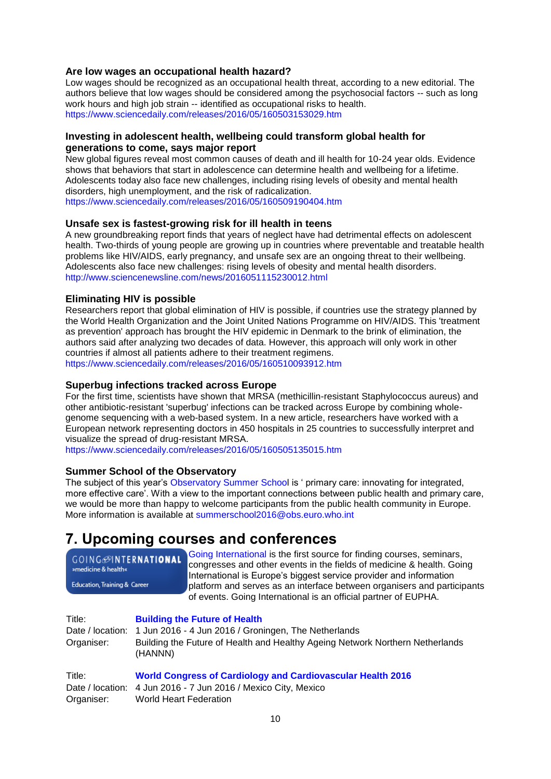## <span id="page-9-0"></span>**Are low wages an occupational health hazard?**

Low wages should be recognized as an occupational health threat, according to a new editorial. The authors believe that low wages should be considered among the psychosocial factors -- such as long work hours and high job strain -- identified as occupational risks to health. <https://www.sciencedaily.com/releases/2016/05/160503153029.htm>

## <span id="page-9-1"></span>**Investing in adolescent health, wellbeing could transform global health for generations to come, says major report**

New global figures reveal most common causes of death and ill health for 10-24 year olds. Evidence shows that behaviors that start in adolescence can determine health and wellbeing for a lifetime. Adolescents today also face new challenges, including rising levels of obesity and mental health disorders, high unemployment, and the risk of radicalization. <https://www.sciencedaily.com/releases/2016/05/160509190404.htm>

## <span id="page-9-2"></span>**Unsafe sex is fastest-growing risk for ill health in teens**

A new groundbreaking report finds that years of neglect have had detrimental effects on adolescent health. Two-thirds of young people are growing up in countries where preventable and treatable health problems like HIV/AIDS, early pregnancy, and unsafe sex are an ongoing threat to their wellbeing. Adolescents also face new challenges: rising levels of obesity and mental health disorders. <http://www.sciencenewsline.com/news/2016051115230012.html>

## <span id="page-9-3"></span>**Eliminating HIV is possible**

Researchers report that global elimination of HIV is possible, if countries use the strategy planned by the World Health Organization and the Joint United Nations Programme on HIV/AIDS. This 'treatment as prevention' approach has brought the HIV epidemic in Denmark to the brink of elimination, the authors said after analyzing two decades of data. However, this approach will only work in other countries if almost all patients adhere to their treatment regimens.

<https://www.sciencedaily.com/releases/2016/05/160510093912.htm>

## <span id="page-9-4"></span>**Superbug infections tracked across Europe**

For the first time, scientists have shown that MRSA (methicillin-resistant Staphylococcus aureus) and other antibiotic-resistant 'superbug' infections can be tracked across Europe by combining wholegenome sequencing with a web-based system. In a new article, researchers have worked with a European network representing doctors in 450 hospitals in 25 countries to successfully interpret and visualize the spread of drug-resistant MRSA.

<https://www.sciencedaily.com/releases/2016/05/160505135015.htm>

## <span id="page-9-5"></span>**Summer School of the Observatory**

The subject of this year's [Observatory Summer School](http://theobservatorysummerschool.org/) is ' primary care: innovating for integrated, more effective care'. With a view to the important connections between public health and primary care, we would be more than happy to welcome participants from the public health community in Europe. More information is available at [summerschool2016@obs.euro.who.int](mailto:summerschool2016@obs.euro.who.int)

# <span id="page-9-6"></span>**7. Upcoming courses and conferences**

| GOING <b>SINTERNATIONAL</b><br>»medicine & health«<br>Education, Training & Career |                            |         | Going International is the first source for finding courses, seminars,<br>congresses and other events in the fields of medicine & health. Going<br>International is Europe's biggest service provider and information<br>platform and serves as an interface between organisers and participants<br>of events. Going International is an official partner of EUPHA. |
|------------------------------------------------------------------------------------|----------------------------|---------|---------------------------------------------------------------------------------------------------------------------------------------------------------------------------------------------------------------------------------------------------------------------------------------------------------------------------------------------------------------------|
|                                                                                    | Title:<br>Date / location: |         | <b>Building the Future of Health</b><br>1 Jun 2016 - 4 Jun 2016 / Groningen, The Netherlands                                                                                                                                                                                                                                                                        |
|                                                                                    | Organiser:                 | (HANNN) | Building the Future of Health and Healthy Ageing Network Northern Netherlands                                                                                                                                                                                                                                                                                       |

Title: **[World Congress of Cardiology and Cardiovascular Health 2016](http://www.world-heart-federation.org/)**  Date / location: 4 Jun 2016 - 7 Jun 2016 / Mexico City, Mexico Organiser: World Heart Federation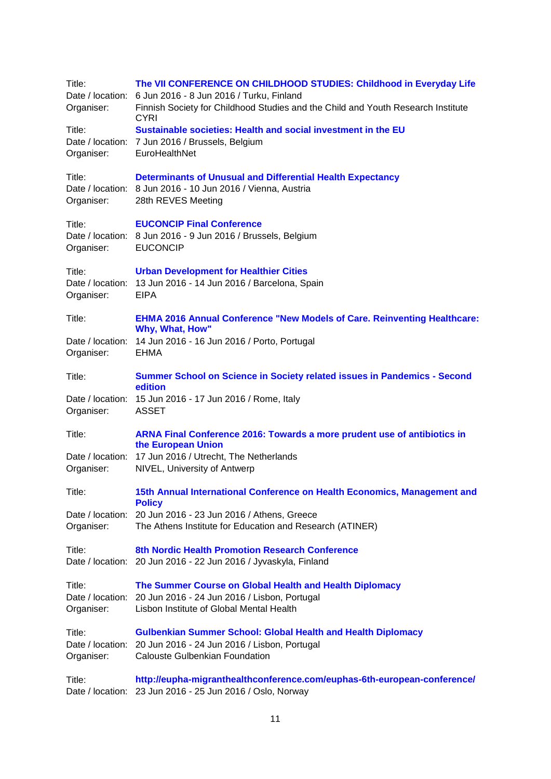| Title:<br>Date / location:<br>Organiser: | The VII CONFERENCE ON CHILDHOOD STUDIES: Childhood in Everyday Life<br>6 Jun 2016 - 8 Jun 2016 / Turku, Finland<br>Finnish Society for Childhood Studies and the Child and Youth Research Institute<br><b>CYRI</b> |
|------------------------------------------|--------------------------------------------------------------------------------------------------------------------------------------------------------------------------------------------------------------------|
| Title:<br>Organiser:                     | Sustainable societies: Health and social investment in the EU<br>Date / location: 7 Jun 2016 / Brussels, Belgium<br>EuroHealthNet                                                                                  |
| Title:<br>Organiser:                     | <b>Determinants of Unusual and Differential Health Expectancy</b><br>Date / location: 8 Jun 2016 - 10 Jun 2016 / Vienna, Austria<br>28th REVES Meeting                                                             |
| Title:<br>Organiser:                     | <b>EUCONCIP Final Conference</b><br>Date / location: 8 Jun 2016 - 9 Jun 2016 / Brussels, Belgium<br><b>EUCONCIP</b>                                                                                                |
| Title:<br>Date / location:<br>Organiser: | <b>Urban Development for Healthier Cities</b><br>13 Jun 2016 - 14 Jun 2016 / Barcelona, Spain<br><b>EIPA</b>                                                                                                       |
| Title:                                   | <b>EHMA 2016 Annual Conference "New Models of Care. Reinventing Healthcare:</b><br>Why, What, How"                                                                                                                 |
| Organiser:                               | Date / location: 14 Jun 2016 - 16 Jun 2016 / Porto, Portugal<br><b>EHMA</b>                                                                                                                                        |
| Title:                                   | Summer School on Science in Society related issues in Pandemics - Second<br>edition                                                                                                                                |
| Organiser:                               | Date / location: 15 Jun 2016 - 17 Jun 2016 / Rome, Italy<br><b>ASSET</b>                                                                                                                                           |
| Title:                                   | ARNA Final Conference 2016: Towards a more prudent use of antibiotics in<br>the European Union                                                                                                                     |
| Organiser:                               | Date / location: 17 Jun 2016 / Utrecht, The Netherlands<br>NIVEL, University of Antwerp                                                                                                                            |
| Title:                                   | 15th Annual International Conference on Health Economics, Management and<br><b>Policy</b>                                                                                                                          |
| Organiser:                               | Date / location: 20 Jun 2016 - 23 Jun 2016 / Athens, Greece<br>The Athens Institute for Education and Research (ATINER)                                                                                            |
| Title:                                   | 8th Nordic Health Promotion Research Conference<br>Date / location: 20 Jun 2016 - 22 Jun 2016 / Jyvaskyla, Finland                                                                                                 |
| Title:<br>Organiser:                     | The Summer Course on Global Health and Health Diplomacy<br>Date / location: 20 Jun 2016 - 24 Jun 2016 / Lisbon, Portugal<br>Lisbon Institute of Global Mental Health                                               |
| Title:<br>Organiser:                     | <b>Gulbenkian Summer School: Global Health and Health Diplomacy</b><br>Date / location: 20 Jun 2016 - 24 Jun 2016 / Lisbon, Portugal<br><b>Calouste Gulbenkian Foundation</b>                                      |
| Title:                                   | http://eupha-migranthealthconference.com/euphas-6th-european-conference/<br>Date / location: 23 Jun 2016 - 25 Jun 2016 / Oslo, Norway                                                                              |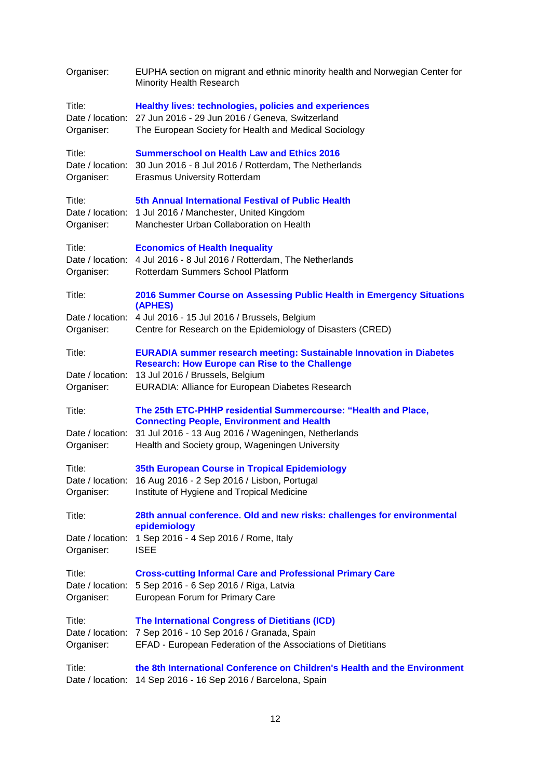| Organiser:                               | EUPHA section on migrant and ethnic minority health and Norwegian Center for<br>Minority Health Research                                                                                  |  |  |  |
|------------------------------------------|-------------------------------------------------------------------------------------------------------------------------------------------------------------------------------------------|--|--|--|
| Title:<br>Organiser:                     | <b>Healthy lives: technologies, policies and experiences</b><br>Date / location: 27 Jun 2016 - 29 Jun 2016 / Geneva, Switzerland<br>The European Society for Health and Medical Sociology |  |  |  |
| Title:<br>Organiser:                     | <b>Summerschool on Health Law and Ethics 2016</b><br>Date / location: 30 Jun 2016 - 8 Jul 2016 / Rotterdam, The Netherlands<br><b>Erasmus University Rotterdam</b>                        |  |  |  |
| Title:<br>Date / location:<br>Organiser: | 5th Annual International Festival of Public Health<br>1 Jul 2016 / Manchester, United Kingdom<br>Manchester Urban Collaboration on Health                                                 |  |  |  |
| Title:<br>Organiser:                     | <b>Economics of Health Inequality</b><br>Date / location: 4 Jul 2016 - 8 Jul 2016 / Rotterdam, The Netherlands<br>Rotterdam Summers School Platform                                       |  |  |  |
| Title:                                   | 2016 Summer Course on Assessing Public Health in Emergency Situations<br>(APHES)                                                                                                          |  |  |  |
| Organiser:                               | Date / location: 4 Jul 2016 - 15 Jul 2016 / Brussels, Belgium<br>Centre for Research on the Epidemiology of Disasters (CRED)                                                              |  |  |  |
| Title:                                   | <b>EURADIA summer research meeting: Sustainable Innovation in Diabetes</b><br><b>Research: How Europe can Rise to the Challenge</b>                                                       |  |  |  |
| Date / location:<br>Organiser:           | 13 Jul 2016 / Brussels, Belgium<br>EURADIA: Alliance for European Diabetes Research                                                                                                       |  |  |  |
| Title:                                   | The 25th ETC-PHHP residential Summercourse: "Health and Place,<br><b>Connecting People, Environment and Health</b>                                                                        |  |  |  |
| Organiser:                               | Date / location: 31 Jul 2016 - 13 Aug 2016 / Wageningen, Netherlands<br>Health and Society group, Wageningen University                                                                   |  |  |  |
| Title:                                   | 35th European Course in Tropical Epidemiology                                                                                                                                             |  |  |  |
| Organiser:                               | Date / location: 16 Aug 2016 - 2 Sep 2016 / Lisbon, Portugal<br>Institute of Hygiene and Tropical Medicine                                                                                |  |  |  |
| Title:                                   | 28th annual conference. Old and new risks: challenges for environmental                                                                                                                   |  |  |  |
| Date / location:<br>Organiser:           | epidemiology<br>1 Sep 2016 - 4 Sep 2016 / Rome, Italy<br><b>ISEE</b>                                                                                                                      |  |  |  |
| Title:<br>Organiser:                     | <b>Cross-cutting Informal Care and Professional Primary Care</b><br>Date / location: 5 Sep 2016 - 6 Sep 2016 / Riga, Latvia<br>European Forum for Primary Care                            |  |  |  |
| Title:<br>Organiser:                     | The International Congress of Dietitians (ICD)<br>Date / location: 7 Sep 2016 - 10 Sep 2016 / Granada, Spain<br>EFAD - European Federation of the Associations of Dietitians              |  |  |  |
| Title:<br>Date / location:               | the 8th International Conference on Children's Health and the Environment<br>14 Sep 2016 - 16 Sep 2016 / Barcelona, Spain                                                                 |  |  |  |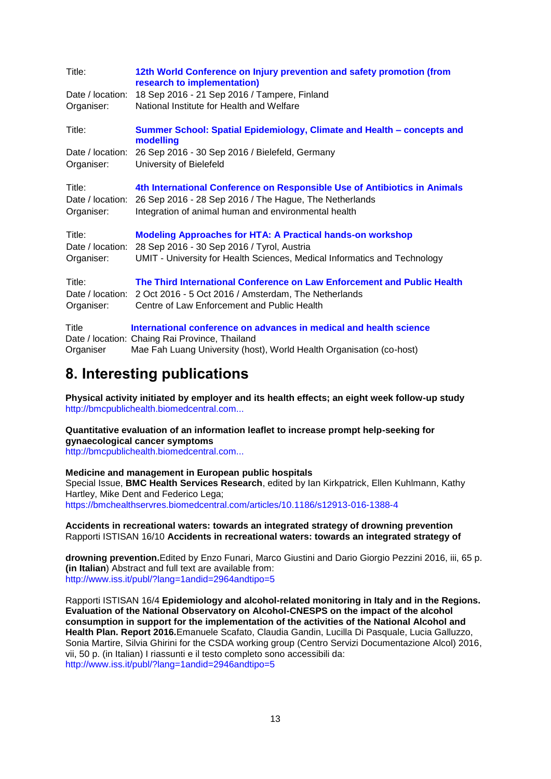| Title:                                   | 12th World Conference on Injury prevention and safety promotion (from<br>research to implementation)                                                                                            |
|------------------------------------------|-------------------------------------------------------------------------------------------------------------------------------------------------------------------------------------------------|
| Date / location:                         | 18 Sep 2016 - 21 Sep 2016 / Tampere, Finland                                                                                                                                                    |
| Organiser:                               | National Institute for Health and Welfare                                                                                                                                                       |
| Title:                                   | Summer School: Spatial Epidemiology, Climate and Health - concepts and<br>modelling                                                                                                             |
| Date / location:<br>Organiser:           | 26 Sep 2016 - 30 Sep 2016 / Bielefeld, Germany<br>University of Bielefeld                                                                                                                       |
| Title:<br>Date / location:<br>Organiser: | 4th International Conference on Responsible Use of Antibiotics in Animals<br>26 Sep 2016 - 28 Sep 2016 / The Hague, The Netherlands<br>Integration of animal human and environmental health     |
| Title:<br>Date / location:<br>Organiser: | <b>Modeling Approaches for HTA: A Practical hands-on workshop</b><br>28 Sep 2016 - 30 Sep 2016 / Tyrol, Austria<br>UMIT - University for Health Sciences, Medical Informatics and Technology    |
| Title:<br>Organiser:                     | The Third International Conference on Law Enforcement and Public Health<br>Date / location: 2 Oct 2016 - 5 Oct 2016 / Amsterdam, The Netherlands<br>Centre of Law Enforcement and Public Health |
| Title<br>Organiser                       | International conference on advances in medical and health science<br>Date / location: Chaing Rai Province, Thailand<br>Mae Fah Luang University (host), World Health Organisation (co-host)    |

# <span id="page-12-0"></span>**8. Interesting publications**

**Physical activity initiated by employer and its health effects; an eight week follow-up study** [http://bmcpublichealth.biomedcentral.com...](http://bmcpublichealth.biomedcentral.com/articles/10.1186/s12889-016-3035-8)

**Quantitative evaluation of an information leaflet to increase prompt help-seeking for gynaecological cancer symptoms**

[http://bmcpublichealth.biomedcentral.com...](http://bmcpublichealth.biomedcentral.com/articles/10.1186/s12889-016-3032-y)

### **Medicine and management in European public hospitals**

Special Issue, **BMC Health Services Research**, edited by Ian Kirkpatrick, Ellen Kuhlmann, Kathy Hartley, Mike Dent and Federico Lega; <https://bmchealthservres.biomedcentral.com/articles/10.1186/s12913-016-1388-4>

### **Accidents in recreational waters: towards an integrated strategy of drowning prevention** Rapporti ISTISAN 16/10 **Accidents in recreational waters: towards an integrated strategy of**

**drowning prevention.**Edited by Enzo Funari, Marco Giustini and Dario Giorgio Pezzini 2016, iii, 65 p. **(in Italian**) Abstract and full text are available from: <http://www.iss.it/publ/?lang=1andid=2964andtipo=5>

Rapporti ISTISAN 16/4 **Epidemiology and alcohol-related monitoring in Italy and in the Regions. Evaluation of the National Observatory on Alcohol-CNESPS on the impact of the alcohol consumption in support for the implementation of the activities of the National Alcohol and Health Plan. Report 2016.**Emanuele Scafato, Claudia Gandin, Lucilla Di Pasquale, Lucia Galluzzo, Sonia Martire, Silvia Ghirini for the CSDA working group (Centro Servizi Documentazione Alcol) 2016, vii, 50 p. (in Italian) I riassunti e il testo completo sono accessibili da: <http://www.iss.it/publ/?lang=1andid=2946andtipo=5>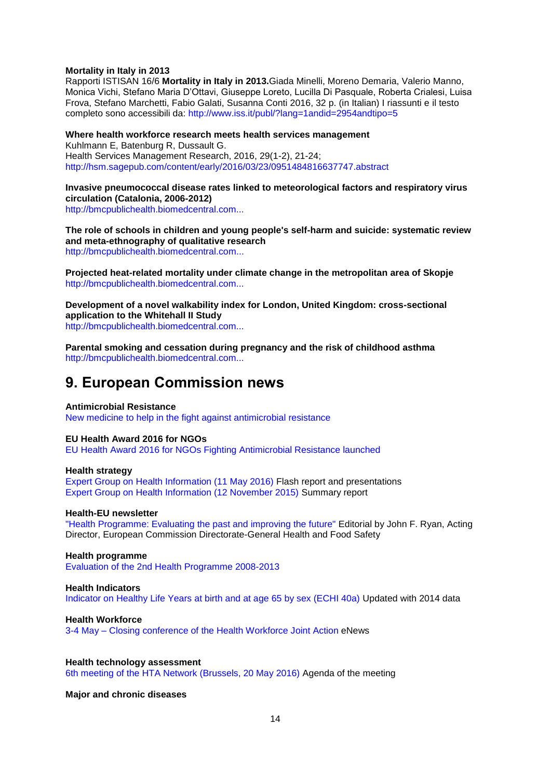### **Mortality in Italy in 2013**

Rapporti ISTISAN 16/6 **Mortality in Italy in 2013.**Giada Minelli, Moreno Demaria, Valerio Manno, Monica Vichi, Stefano Maria D'Ottavi, Giuseppe Loreto, Lucilla Di Pasquale, Roberta Crialesi, Luisa Frova, Stefano Marchetti, Fabio Galati, Susanna Conti 2016, 32 p. (in Italian) I riassunti e il testo completo sono accessibili da:<http://www.iss.it/publ/?lang=1andid=2954andtipo=5>

### **Where health workforce research meets health services management**

Kuhlmann E, Batenburg R, Dussault G. Health Services Management Research, 2016, 29(1-2), 21-24; <http://hsm.sagepub.com/content/early/2016/03/23/0951484816637747.abstract>

## **Invasive pneumococcal disease rates linked to meteorological factors and respiratory virus circulation (Catalonia, 2006-2012)**

[http://bmcpublichealth.biomedcentral.com...](http://bmcpublichealth.biomedcentral.com/articles/10.1186/s12889-016-3061-6)

**The role of schools in children and young people's self-harm and suicide: systematic review and meta-ethnography of qualitative research** [http://bmcpublichealth.biomedcentral.com...](http://bmcpublichealth.biomedcentral.com/articles/10.1186/s12889-016-3065-2)

**Projected heat-related mortality under climate change in the metropolitan area of Skopje** [http://bmcpublichealth.biomedcentral.com...](http://bmcpublichealth.biomedcentral.com/articles/10.1186/s12889-016-3077-y)

**Development of a novel walkability index for London, United Kingdom: cross-sectional application to the Whitehall II Study** [http://bmcpublichealth.biomedcentral.com...](http://bmcpublichealth.biomedcentral.com/articles/10.1186/s12889-016-3012-2)

**Parental smoking and cessation during pregnancy and the risk of childhood asthma** [http://bmcpublichealth.biomedcentral.com...](http://bmcpublichealth.biomedcentral.com/articles/10.1186/s12889-016-3029-6)

# <span id="page-13-0"></span>**9. European Commission news**

### **Antimicrobial Resistance**

[New medicine to help in the fight against antimicrobial resistance](http://www.ema.europa.eu/ema/index.jsp?curl=pages/news_and_events/news/2016/04/news_detail_002523.jsp&mid=WC0b01ac058004d5c1)

### **EU Health Award 2016 for NGOs**

[EU Health Award 2016 for NGOs Fighting Antimicrobial Resistance launched](http://ec.europa.eu/dgs/health_food-safety/dyna/enews/enews.cfm?al_id=1692)

### **Health strategy**

[Expert Group on Health Information \(11 May 2016\)](http://ec.europa.eu/health/strategy/events/ev_20160511_en.htm) Flash report and presentations [Expert Group on Health Information \(12 November 2015\)](http://ec.europa.eu/health/strategy/events/ev_20151112_en.htm) Summary report

#### **Health-EU newsletter**

["Health Programme: Evaluating the past and improving the future"](http://ec.europa.eu/health/newsletter/173/newsletter_en.htm) Editorial by John F. Ryan, Acting Director, European Commission Directorate-General Health and Food Safety

## **Health programme**

[Evaluation of the 2nd Health Programme 2008-2013](http://ec.europa.eu/dgs/health_food-safety/dyna/enews/enews.cfm?al_id=1689)

## **Health Indicators** [Indicator on Healthy Life Years at birth and at age 65 by sex \(ECHI 40a\)](http://ec.europa.eu/health/indicators/echi/list/index_en.htm#id2) Updated with 2014 data

**Health Workforce** 3-4 May – [Closing conference of the Health Workforce Joint Action](http://ec.europa.eu/dgs/health_food-safety/dyna/enews/enews.cfm?al_id=1688) eNews

#### **Health technology assessment** [6th meeting of the HTA Network \(Brussels, 20 May 2016\)](http://ec.europa.eu/health/technology_assessment/events/index_en.htm#anchor0_more) Agenda of the meeting

### **Major and chronic diseases**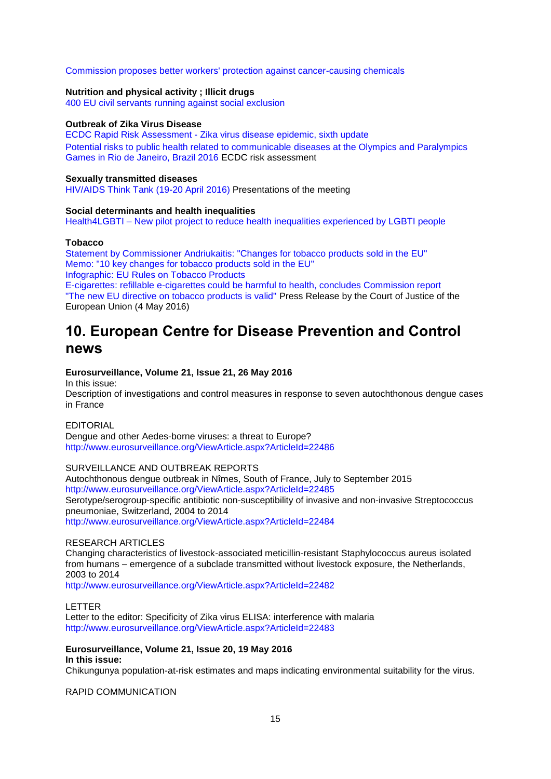### [Commission proposes better workers' protection against cancer-causing chemicals](http://europa.eu/rapid/press-release_IP-16-1656_en.htm)

### **Nutrition and physical activity ; Illicit drugs**

[400 EU civil servants running against social exclusion](https://www.facebook.com/UEauLuxembourg/videos/1029266407155255)

#### **Outbreak of Zika Virus Disease**

ECDC Rapid Risk Assessment - [Zika virus disease epidemic, sixth update](http://ecdc.europa.eu/en/publications/Publications/zika%20virus%20rapid%20risk%20assessment%2010-05-2016.pdf) [Potential risks to public health related to communicable diseases at the Olympics and Paralympics](http://ecdc.europa.eu/en/publications/_layouts/forms/Publication_DispForm.aspx?List=4f55ad51-4aed-4d32-b960-af70113dbb90&ID=1486)  [Games in Rio de Janeiro, Brazil 2016](http://ecdc.europa.eu/en/publications/_layouts/forms/Publication_DispForm.aspx?List=4f55ad51-4aed-4d32-b960-af70113dbb90&ID=1486) ECDC risk assessment

### **Sexually transmitted diseases**

[HIV/AIDS Think Tank \(19-20 April 2016\)](http://ec.europa.eu/health/sti_prevention/events/ev_20160419_en.htm) Presentations of the meeting

#### **Social determinants and health inequalities**

Health4LGBTI – [New pilot project to reduce health inequalities experienced by LGBTI people](http://ec.europa.eu/health/social_determinants/projects/ep_funded_projects_en.htm#fragment2)

### **Tobacco**

[Statement by Commissioner Andriukaitis: "Changes for tobacco products sold in the EU"](http://europa.eu/rapid/press-release_STATEMENT-16-1882_en.htm) [Memo: "10 key changes for tobacco products sold in the EU"](http://europa.eu/rapid/press-release_IP-16-1762_en.htm) [Infographic: EU Rules on Tobacco Products](http://www.google.nl/url?sa=t&rct=j&q=&esrc=s&source=web&cd=1&ved=0ahUKEwih-_7G0IHNAhVMK8AKHRjzD5MQFggfMAA&url=http%3A%2F%2Fec.europa.eu%2Fhealth%2Ftobacco%2Fdocs%2Ftobacco_infograph2_en.pdf&usg=AFQjCNFLgTihEjmztAnXCe7f98rv1STZtg&sig2=IY2uuynrco_vGnR8yKA6XA)

[E-cigarettes: refillable e-cigarettes could be harmful to health, concludes Commission report](http://ec.europa.eu/dgs/health_food-safety/dyna/enews/enews.cfm?al_id=1691) ["The new EU directive on tobacco products is valid"](http://www.google.nl/url?sa=t&rct=j&q=&esrc=s&source=web&cd=1&ved=0ahUKEwik4Z2o0YHNAhVpCsAKHZs2AC8QFggfMAA&url=http%3A%2F%2Fcuria.europa.eu%2Fjcms%2Fjcms%2FP_207344%2F&usg=AFQjCNHIL0f53zn8bZ96vqw0uK_9ZWcUfg&sig2=OmxB1kQiQQ-f2v8AU4FXvQ&bvm=bv.123325700,d.bGs) Press Release by the Court of Justice of the European Union (4 May 2016)

# <span id="page-14-0"></span>**10. European Centre for Disease Prevention and Control news**

### **Eurosurveillance, Volume 21, Issue 21, 26 May 2016**

In this issue:

Description of investigations and control measures in response to seven autochthonous dengue cases in France

## EDITORIAL

Dengue and other Aedes-borne viruses: a threat to Europe? <http://www.eurosurveillance.org/ViewArticle.aspx?ArticleId=22486>

#### SURVEILLANCE AND OUTBREAK REPORTS

Autochthonous dengue outbreak in Nîmes, South of France, July to September 2015 <http://www.eurosurveillance.org/ViewArticle.aspx?ArticleId=22485> Serotype/serogroup-specific antibiotic non-susceptibility of invasive and non-invasive Streptococcus pneumoniae, Switzerland, 2004 to 2014 <http://www.eurosurveillance.org/ViewArticle.aspx?ArticleId=22484>

### RESEARCH ARTICLES

Changing characteristics of livestock-associated meticillin-resistant Staphylococcus aureus isolated from humans – emergence of a subclade transmitted without livestock exposure, the Netherlands, 2003 to 2014

<http://www.eurosurveillance.org/ViewArticle.aspx?ArticleId=22482>

LETTER Letter to the editor: Specificity of Zika virus ELISA: interference with malaria <http://www.eurosurveillance.org/ViewArticle.aspx?ArticleId=22483>

#### **Eurosurveillance, Volume 21, Issue 20, 19 May 2016 In this issue:**

Chikungunya population-at-risk estimates and maps indicating environmental suitability for the virus.

RAPID COMMUNICATION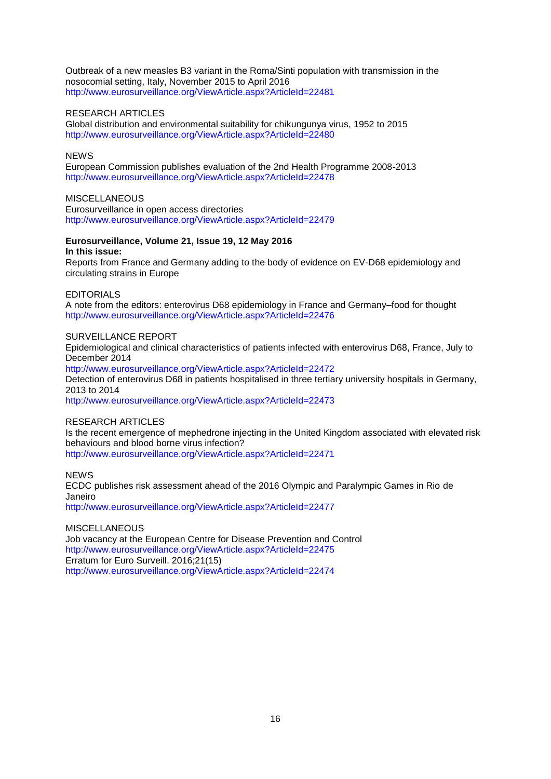Outbreak of a new measles B3 variant in the Roma/Sinti population with transmission in the nosocomial setting, Italy, November 2015 to April 2016 <http://www.eurosurveillance.org/ViewArticle.aspx?ArticleId=22481>

## RESEARCH ARTICLES

Global distribution and environmental suitability for chikungunya virus, 1952 to 2015 <http://www.eurosurveillance.org/ViewArticle.aspx?ArticleId=22480>

## **NEWS**

European Commission publishes evaluation of the 2nd Health Programme 2008-2013 <http://www.eurosurveillance.org/ViewArticle.aspx?ArticleId=22478>

### **MISCELLANEOUS**

Eurosurveillance in open access directories <http://www.eurosurveillance.org/ViewArticle.aspx?ArticleId=22479>

### **Eurosurveillance, Volume 21, Issue 19, 12 May 2016 In this issue:**

Reports from France and Germany adding to the body of evidence on EV-D68 epidemiology and circulating strains in Europe

### EDITORIALS

A note from the editors: enterovirus D68 epidemiology in France and Germany–food for thought <http://www.eurosurveillance.org/ViewArticle.aspx?ArticleId=22476>

### SURVEILLANCE REPORT

Epidemiological and clinical characteristics of patients infected with enterovirus D68, France, July to December 2014

<http://www.eurosurveillance.org/ViewArticle.aspx?ArticleId=22472>

Detection of enterovirus D68 in patients hospitalised in three tertiary university hospitals in Germany, 2013 to 2014

<http://www.eurosurveillance.org/ViewArticle.aspx?ArticleId=22473>

## RESEARCH ARTICLES

Is the recent emergence of mephedrone injecting in the United Kingdom associated with elevated risk behaviours and blood borne virus infection? <http://www.eurosurveillance.org/ViewArticle.aspx?ArticleId=22471>

**NEWS** 

ECDC publishes risk assessment ahead of the 2016 Olympic and Paralympic Games in Rio de Janeiro

<http://www.eurosurveillance.org/ViewArticle.aspx?ArticleId=22477>

**MISCELLANEOUS** 

Job vacancy at the European Centre for Disease Prevention and Control <http://www.eurosurveillance.org/ViewArticle.aspx?ArticleId=22475> Erratum for Euro Surveill. 2016;21(15) <http://www.eurosurveillance.org/ViewArticle.aspx?ArticleId=22474>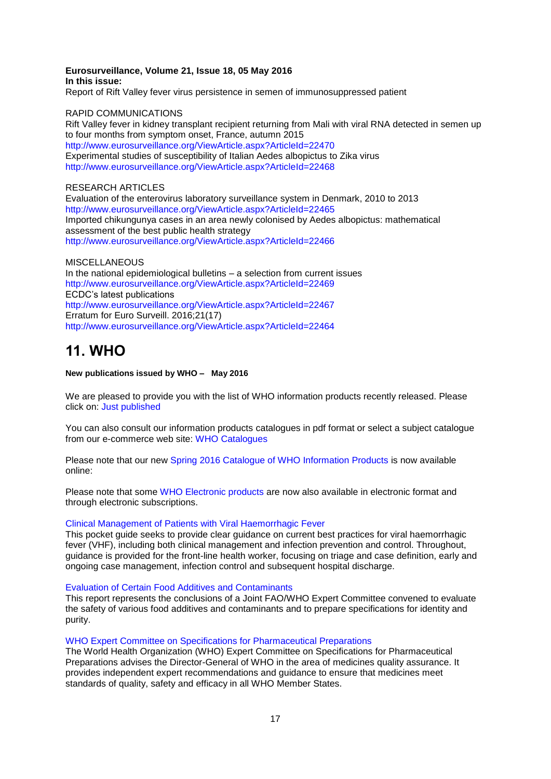#### **Eurosurveillance, Volume 21, Issue 18, 05 May 2016 In this issue:**

Report of Rift Valley fever virus persistence in semen of immunosuppressed patient

### RAPID COMMUNICATIONS

Rift Valley fever in kidney transplant recipient returning from Mali with viral RNA detected in semen up to four months from symptom onset, France, autumn 2015 <http://www.eurosurveillance.org/ViewArticle.aspx?ArticleId=22470> Experimental studies of susceptibility of Italian Aedes albopictus to Zika virus <http://www.eurosurveillance.org/ViewArticle.aspx?ArticleId=22468>

## RESEARCH ARTICLES

Evaluation of the enterovirus laboratory surveillance system in Denmark, 2010 to 2013 <http://www.eurosurveillance.org/ViewArticle.aspx?ArticleId=22465> Imported chikungunya cases in an area newly colonised by Aedes albopictus: mathematical assessment of the best public health strategy <http://www.eurosurveillance.org/ViewArticle.aspx?ArticleId=22466>

### **MISCELLANEOUS**

In the national epidemiological bulletins – a selection from current issues <http://www.eurosurveillance.org/ViewArticle.aspx?ArticleId=22469> ECDC's latest publications <http://www.eurosurveillance.org/ViewArticle.aspx?ArticleId=22467> Erratum for Euro Surveill. 2016;21(17) <http://www.eurosurveillance.org/ViewArticle.aspx?ArticleId=22464>

# <span id="page-16-0"></span>**11. WHO**

### **New publications issued by WHO – May 2016**

We are pleased to provide you with the list of WHO information products recently released. Please click on: [Just published](http://www.who.int/bookorders/anglais/newpublications1.jsp?sesslan=1)

You can also consult our information products catalogues in pdf format or select a subject catalogue from our e-commerce web site: [WHO Catalogues](http://www.who.int/bookorders/anglais/catalog1.jsp?sesslan=1) 

Please note that our new [Spring 2016 Catalogue of WHO Information Products](http://apps.who.int/bookorders/MDIbookPDF/Catalogue/CatalogueSpring2016.pdf) is now available online:

Please note that some [WHO Electronic products](http://apps.who.int/bookorders/anglais/ElectroProd1.jsp) are now also available in electronic format and through electronic subscriptions.

### [Clinical Management of Patients with Viral Haemorrhagic Fever](http://apps.who.int/bookorders/anglais/detart1.jsp?codlan=1&codcol=15&codcch=912)

This pocket guide seeks to provide clear guidance on current best practices for viral haemorrhagic fever (VHF), including both clinical management and infection prevention and control. Throughout, guidance is provided for the front-line health worker, focusing on triage and case definition, early and ongoing case management, infection control and subsequent hospital discharge.

[Evaluation of Certain Food Additives and Contaminants](http://apps.who.int/bookorders/anglais/detart1.jsp?codlan=1&codcol=10&codcch=995)

This report represents the conclusions of a Joint FAO/WHO Expert Committee convened to evaluate the safety of various food additives and contaminants and to prepare specifications for identity and purity.

#### [WHO Expert Committee on Specifications for Pharmaceutical Preparations](http://apps.who.int/bookorders/anglais/detart1.jsp?codlan=1&codcol=10&codcch=996)

The World Health Organization (WHO) Expert Committee on Specifications for Pharmaceutical Preparations advises the Director-General of WHO in the area of medicines quality assurance. It provides independent expert recommendations and guidance to ensure that medicines meet standards of quality, safety and efficacy in all WHO Member States.